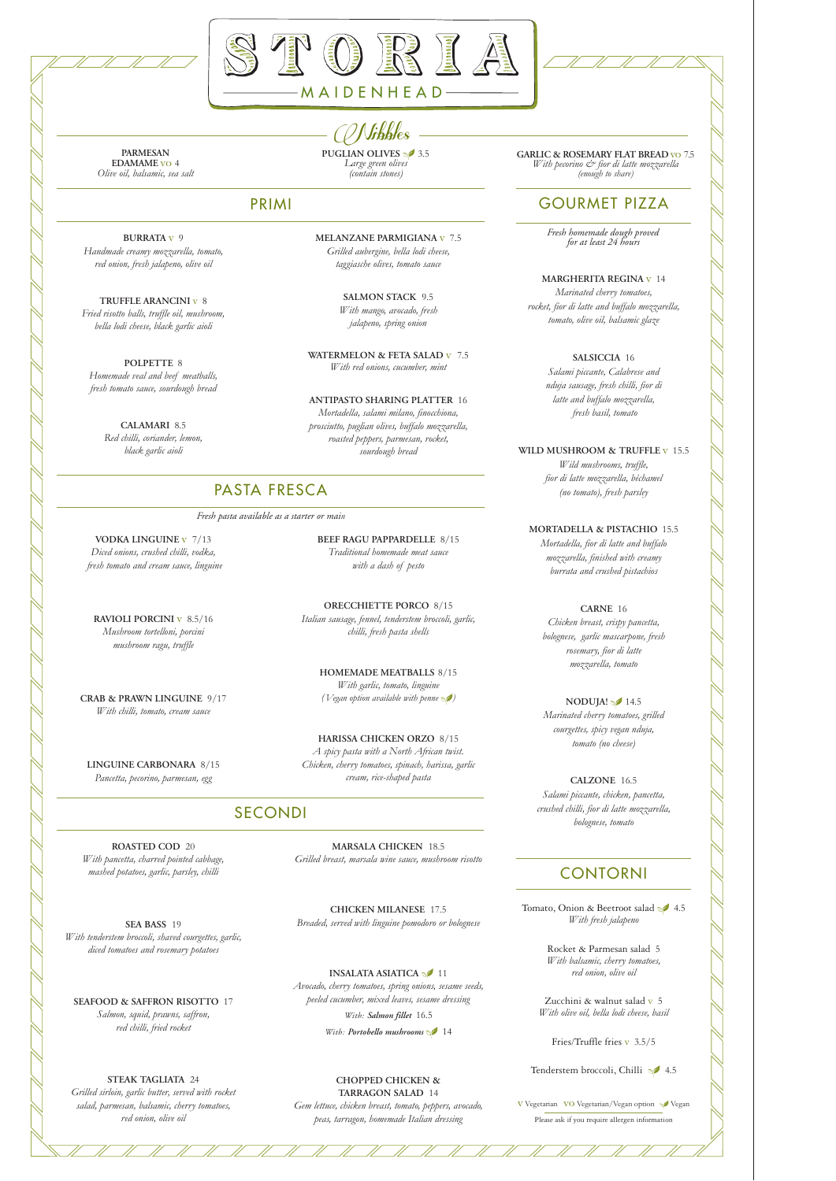# GOURMET PIZZA

*Fresh homemade dough proved for at least 24 hours*

**MARGHERITA REGINA** v 14 *Marinated cherry tomatoes, rocket, fior di latte and buffalo mozzarella, tomato, olive oil, balsamic glaze*

> **SALSICCIA** 16 *Salami piccante, Calabrese and*

*nduja sausage, fresh chilli, fior di latte and buffalo mozzarella, fresh basil, tomato*

#### **WILD MUSHROOM & TRUFFLE** v 15.5

**NODUJA!** 14.5 *Marinated cherry tomatoes, grilled courgettes, spicy vegan nduja, tomato (no cheese)*

*Wild mushrooms, truffle, fior di latte mozzarella, béchamel (no tomato), fresh parsley*

### **MORTADELLA & PISTACHIO** 15.5

Tomato, Onion & Beetroot salad  $\sqrt{4.5}$ *With fresh jalapeno*

*Mortadella, fior di latte and buffalo mozzarella, finished with creamy burrata and crushed pistachios*

### **CARNE** 16

*Chicken breast, crispy pancetta, bolognese, garlic mascarpone, fresh rosemary, fior di latte mozzarella, tomato*

**CALZONE** 16.5 *Salami piccante, chicken, pancetta, crushed chilli, fior di latte mozzarella, bolognese, tomato*

### CONTORNI

Rocket & Parmesan salad 5 *With balsamic, cherry tomatoes, red onion, olive oil*

Zucchini & walnut salad v 5 *With olive oil, bella lodi cheese, basil*

Fries/Truffle fries v 3.5/5

Tenderstem broccoli, Chilli 14.5

V Vegetarian VO Vegetarian/Vegan option Vegan

Please ask if you require allergen information

**BURRATA** v 9 *Handmade creamy mozzarella, tomato, red onion, fresh jalapeno, olive oil*

**TRUFFLE ARANCINI** v 8 *Fried risotto balls, truffle oil, mushroom, bella lodi cheese, black garlic aioli*

**POLPETTE** 8 *Homemade veal and beef meatballs, fresh tomato sauce, sourdough bread*

> **CALAMARI** 8.5 *Red chilli, coriander, lemon, black garlic aioli*

### **MELANZANE PARMIGIANA** v 7.5 *Grilled aubergine, bella lodi cheese, taggiasche olives, tomato sauce*

**SALMON STACK** 9.5 *With mango, avocado, fresh jalapeno, spring onion*

**WATERMELON & FETA SALAD** v 7.5 *With red onions, cucumber, mint*

#### **ANTIPASTO SHARING PLATTER** 16

**PUGLIAN OLIVES** 3.5 **GARLIC** & **ROSEMARY FLAT BREAD** vo 7.5 *With pecorino & fior di latte mozzarella (enough to share)*

*Mortadella, salami milano, finocchiona, prosciutto, puglian olives, buffalo mozzarella, roasted peppers, parmesan, rocket, sourdough bread*

### PRIMI

**VODKA LINGUINE** v 7/13 *Diced onions, crushed chilli, vodka, fresh tomato and cream sauce, linguine*

**RAVIOLI PORCINI** v 8.5/16 *Mushroom tortelloni, porcini mushroom ragu, truffle*

**CRAB & PRAWN LINGUINE** 9/17 *With chilli, tomato, cream sauce*

**LINGUINE CARBONARA** 8/15 *Pancetta, pecorino, parmesan, egg*

**BEEF RAGU PAPPARDELLE** 8/15 *Traditional homemade meat sauce with a dash of pesto*

**ORECCHIETTE PORCO** 8/15 *Italian sausage, fennel, tenderstem broccoli, garlic, chilli, fresh pasta shells*

**HOMEMADE MEATBALLS** 8/15 *With garlic, tomato, linguine ( Vegan option available with penne )*

**HARISSA CHICKEN ORZO** 8/15 *A spicy pasta with a North African twist. Chicken, cherry tomatoes, spinach, harissa, garlic cream, rice-shaped pasta*

## PASTA FRESCA

*Fresh pasta available as a starter or main*

#### **ROASTED COD** 20

*With pancetta, charred pointed cabbage, mashed potatoes, garlic, parsley, chilli*

**SEA BASS** 19 *With tenderstem broccoli, shaved courgettes, garlic, diced tomatoes and rosemary potatoes*

#### **SEAFOOD & SAFFRON RISOTTO** 17

*Salmon, squid, prawns, saffron, red chilli, fried rocket*

#### **STEAK TAGLIATA** 24

*Grilled sirloin, garlic butter, served with rocket salad, parmesan, balsamic, cherry tomatoes, red onion, olive oil*

**MARSALA CHICKEN** 18.5 *Grilled breast, marsala wine sauce, mushroom risotto*

**CHICKEN MILANESE** 17.5

*Breaded, served with linguine pomodoro or bolognese*

#### **INSALATA ASIATICA** <sup>11</sup>

*Avocado, cherry tomatoes, spring onions, sesame seeds, peeled cucumber, mixed leaves, sesame dressing*

*With: Salmon fillet* 16.5

*With: Portobello mushrooms* 14

**CHOPPED CHICKEN & TARRAGON SALAD** 14

*Gem lettuce, chicken breast, tomato, peppers, avocado, peas, tarragon, homemade Italian dressing*

# SECONDI

**PARMESAN EDAMAME** vo 4 *Olive oil, balsamic, sea salt* Nibbles *Large green olives (contain stones)*